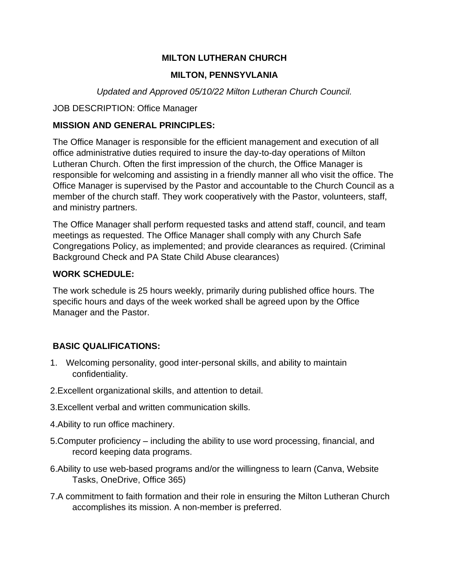### **MILTON LUTHERAN CHURCH**

## **MILTON, PENNSYVLANIA**

# *Updated and Approved 05/10/22 Milton Lutheran Church Council.*

## JOB DESCRIPTION: Office Manager

# **MISSION AND GENERAL PRINCIPLES:**

The Office Manager is responsible for the efficient management and execution of all office administrative duties required to insure the day-to-day operations of Milton Lutheran Church. Often the first impression of the church, the Office Manager is responsible for welcoming and assisting in a friendly manner all who visit the office. The Office Manager is supervised by the Pastor and accountable to the Church Council as a member of the church staff. They work cooperatively with the Pastor, volunteers, staff, and ministry partners.

The Office Manager shall perform requested tasks and attend staff, council, and team meetings as requested. The Office Manager shall comply with any Church Safe Congregations Policy, as implemented; and provide clearances as required. (Criminal Background Check and PA State Child Abuse clearances)

### **WORK SCHEDULE:**

The work schedule is 25 hours weekly, primarily during published office hours. The specific hours and days of the week worked shall be agreed upon by the Office Manager and the Pastor.

# **BASIC QUALIFICATIONS:**

- 1. Welcoming personality, good inter-personal skills, and ability to maintain confidentiality.
- 2.Excellent organizational skills, and attention to detail.
- 3.Excellent verbal and written communication skills.
- 4.Ability to run office machinery.
- 5.Computer proficiency including the ability to use word processing, financial, and record keeping data programs.
- 6.Ability to use web-based programs and/or the willingness to learn (Canva, Website Tasks, OneDrive, Office 365)
- 7.A commitment to faith formation and their role in ensuring the Milton Lutheran Church accomplishes its mission. A non-member is preferred.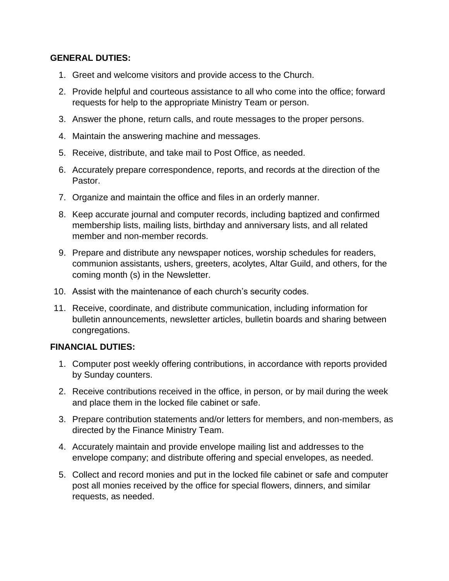#### **GENERAL DUTIES:**

- 1. Greet and welcome visitors and provide access to the Church.
- 2. Provide helpful and courteous assistance to all who come into the office; forward requests for help to the appropriate Ministry Team or person.
- 3. Answer the phone, return calls, and route messages to the proper persons.
- 4. Maintain the answering machine and messages.
- 5. Receive, distribute, and take mail to Post Office, as needed.
- 6. Accurately prepare correspondence, reports, and records at the direction of the Pastor.
- 7. Organize and maintain the office and files in an orderly manner.
- 8. Keep accurate journal and computer records, including baptized and confirmed membership lists, mailing lists, birthday and anniversary lists, and all related member and non-member records.
- 9. Prepare and distribute any newspaper notices, worship schedules for readers, communion assistants, ushers, greeters, acolytes, Altar Guild, and others, for the coming month (s) in the Newsletter.
- 10. Assist with the maintenance of each church's security codes.
- 11. Receive, coordinate, and distribute communication, including information for bulletin announcements, newsletter articles, bulletin boards and sharing between congregations.

#### **FINANCIAL DUTIES:**

- 1. Computer post weekly offering contributions, in accordance with reports provided by Sunday counters.
- 2. Receive contributions received in the office, in person, or by mail during the week and place them in the locked file cabinet or safe.
- 3. Prepare contribution statements and/or letters for members, and non-members, as directed by the Finance Ministry Team.
- 4. Accurately maintain and provide envelope mailing list and addresses to the envelope company; and distribute offering and special envelopes, as needed.
- 5. Collect and record monies and put in the locked file cabinet or safe and computer post all monies received by the office for special flowers, dinners, and similar requests, as needed.